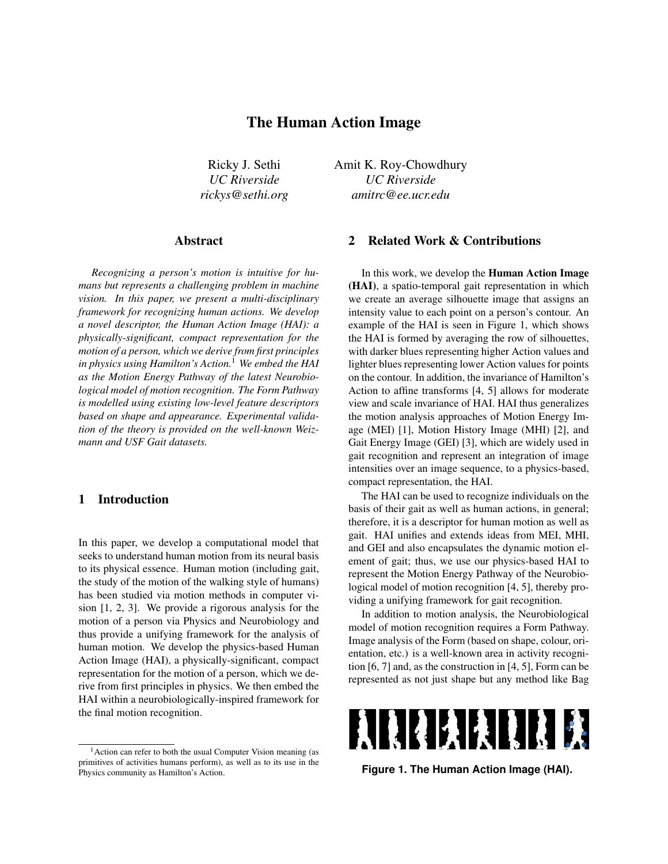# The Human Action Image

Ricky J. Sethi *UC Riverside rickys@sethi.org*

#### Abstract

*Recognizing a person's motion is intuitive for humans but represents a challenging problem in machine vision. In this paper, we present a multi-disciplinary framework for recognizing human actions. We develop a novel descriptor, the Human Action Image (HAI): a physically-significant, compact representation for the motion of a person, which we derive from first principles in physics using Hamilton's Action.*<sup>1</sup> *We embed the HAI as the Motion Energy Pathway of the latest Neurobiological model of motion recognition. The Form Pathway is modelled using existing low-level feature descriptors based on shape and appearance. Experimental validation of the theory is provided on the well-known Weizmann and USF Gait datasets.*

### 1 Introduction

In this paper, we develop a computational model that seeks to understand human motion from its neural basis to its physical essence. Human motion (including gait, the study of the motion of the walking style of humans) has been studied via motion methods in computer vision [1, 2, 3]. We provide a rigorous analysis for the motion of a person via Physics and Neurobiology and thus provide a unifying framework for the analysis of human motion. We develop the physics-based Human Action Image (HAI), a physically-significant, compact representation for the motion of a person, which we derive from first principles in physics. We then embed the HAI within a neurobiologically-inspired framework for the final motion recognition.

 $<sup>1</sup>$  Action can refer to both the usual Computer Vision meaning (as</sup> primitives of activities humans perform), as well as to its use in the Physics community as Hamilton's Action.

Amit K. Roy-Chowdhury *UC Riverside amitrc@ee.ucr.edu*

#### 2 Related Work & Contributions

In this work, we develop the Human Action Image (HAI), a spatio-temporal gait representation in which we create an average silhouette image that assigns an intensity value to each point on a person's contour. An example of the HAI is seen in Figure 1, which shows the HAI is formed by averaging the row of silhouettes, with darker blues representing higher Action values and lighter blues representing lower Action values for points on the contour. In addition, the invariance of Hamilton's Action to affine transforms [4, 5] allows for moderate view and scale invariance of HAI. HAI thus generalizes the motion analysis approaches of Motion Energy Image (MEI) [1], Motion History Image (MHI) [2], and Gait Energy Image (GEI) [3], which are widely used in gait recognition and represent an integration of image intensities over an image sequence, to a physics-based, compact representation, the HAI.

The HAI can be used to recognize individuals on the basis of their gait as well as human actions, in general; therefore, it is a descriptor for human motion as well as gait. HAI unifies and extends ideas from MEI, MHI, and GEI and also encapsulates the dynamic motion element of gait; thus, we use our physics-based HAI to represent the Motion Energy Pathway of the Neurobiological model of motion recognition [4, 5], thereby providing a unifying framework for gait recognition.

In addition to motion analysis, the Neurobiological model of motion recognition requires a Form Pathway. Image analysis of the Form (based on shape, colour, orientation, etc.) is a well-known area in activity recognition [6, 7] and, as the construction in [4, 5], Form can be represented as not just shape but any method like Bag



**Figure 1. The Human Action Image (HAI).**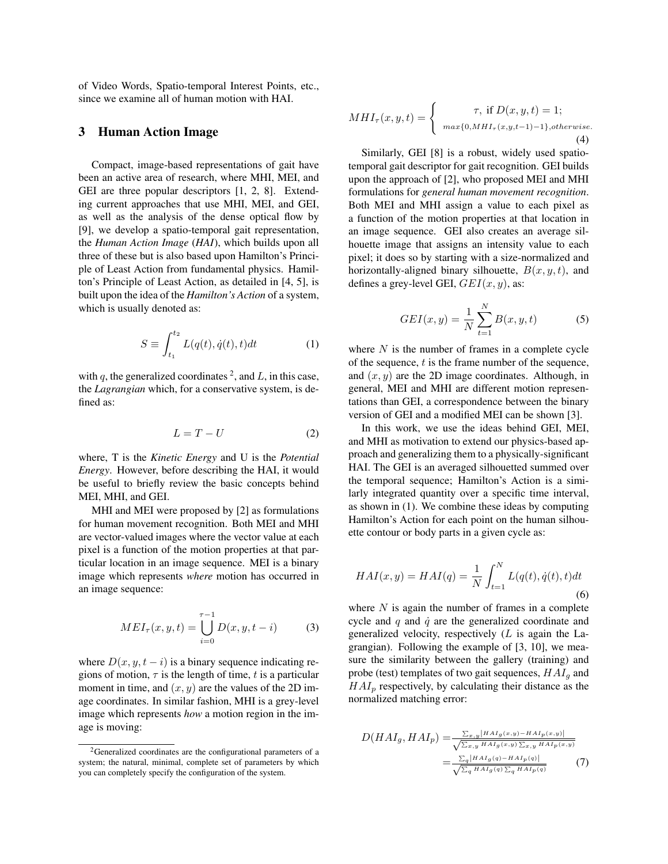of Video Words, Spatio-temporal Interest Points, etc., since we examine all of human motion with HAI.

#### 3 Human Action Image

Compact, image-based representations of gait have been an active area of research, where MHI, MEI, and GEI are three popular descriptors [1, 2, 8]. Extending current approaches that use MHI, MEI, and GEI, as well as the analysis of the dense optical flow by [9], we develop a spatio-temporal gait representation, the *Human Action Image* (*HAI*), which builds upon all three of these but is also based upon Hamilton's Principle of Least Action from fundamental physics. Hamilton's Principle of Least Action, as detailed in [4, 5], is built upon the idea of the *Hamilton's Action* of a system, which is usually denoted as:

$$
S \equiv \int_{t_1}^{t_2} L(q(t), \dot{q}(t), t) dt \tag{1}
$$

with q, the generalized coordinates <sup>2</sup>, and L, in this case, the *Lagrangian* which, for a conservative system, is defined as:

$$
L = T - U \tag{2}
$$

where, T is the *Kinetic Energy* and U is the *Potential Energy*. However, before describing the HAI, it would be useful to briefly review the basic concepts behind MEI, MHI, and GEI.

MHI and MEI were proposed by [2] as formulations for human movement recognition. Both MEI and MHI are vector-valued images where the vector value at each pixel is a function of the motion properties at that particular location in an image sequence. MEI is a binary image which represents *where* motion has occurred in an image sequence:

$$
MEI_{\tau}(x, y, t) = \bigcup_{i=0}^{\tau-1} D(x, y, t-i)
$$
 (3)

where  $D(x, y, t - i)$  is a binary sequence indicating regions of motion,  $\tau$  is the length of time, t is a particular moment in time, and  $(x, y)$  are the values of the 2D image coordinates. In similar fashion, MHI is a grey-level image which represents *how* a motion region in the image is moving:

$$
MHI_{\tau}(x, y, t) = \begin{cases} \tau, & \text{if } D(x, y, t) = 1; \\ \max\{0, MHI_{\tau}(x, y, t-1)-1\}, otherwise. \end{cases}
$$
\n(4)

Similarly, GEI [8] is a robust, widely used spatiotemporal gait descriptor for gait recognition. GEI builds upon the approach of [2], who proposed MEI and MHI formulations for *general human movement recognition*. Both MEI and MHI assign a value to each pixel as a function of the motion properties at that location in an image sequence. GEI also creates an average silhouette image that assigns an intensity value to each pixel; it does so by starting with a size-normalized and horizontally-aligned binary silhouette,  $B(x, y, t)$ , and defines a grey-level GEI,  $GEI(x, y)$ , as:

$$
GEI(x,y) = \frac{1}{N} \sum_{t=1}^{N} B(x,y,t)
$$
 (5)

where  $N$  is the number of frames in a complete cycle of the sequence,  $t$  is the frame number of the sequence, and  $(x, y)$  are the 2D image coordinates. Although, in general, MEI and MHI are different motion representations than GEI, a correspondence between the binary version of GEI and a modified MEI can be shown [3].

In this work, we use the ideas behind GEI, MEI, and MHI as motivation to extend our physics-based approach and generalizing them to a physically-significant HAI. The GEI is an averaged silhouetted summed over the temporal sequence; Hamilton's Action is a similarly integrated quantity over a specific time interval, as shown in (1). We combine these ideas by computing Hamilton's Action for each point on the human silhouette contour or body parts in a given cycle as:

$$
HAI(x,y) = HAI(q) = \frac{1}{N} \int_{t=1}^{N} L(q(t), \dot{q}(t), t)dt
$$
\n(6)

where  $N$  is again the number of frames in a complete cycle and  $q$  and  $\dot{q}$  are the generalized coordinate and generalized velocity, respectively  $(L$  is again the Lagrangian). Following the example of [3, 10], we measure the similarity between the gallery (training) and probe (test) templates of two gait sequences,  $HAI<sub>q</sub>$  and  $HAI<sub>p</sub>$  respectively, by calculating their distance as the normalized matching error:

$$
D(HAI_g, HAI_p) = \frac{\sum_{x,y} |HAI_g(x,y) - HAI_p(x,y)|}{\sqrt{\sum_{x,y} HAI_g(x,y) \sum_{x,y} HAI_p(x,y)}}
$$
  
= 
$$
\frac{\sum_q |HAI_g(q) - HAI_p(q)|}{\sqrt{\sum_q HAI_g(q) \sum_q HAI_p(q)}}
$$
(7)

<sup>2</sup>Generalized coordinates are the configurational parameters of a system; the natural, minimal, complete set of parameters by which you can completely specify the configuration of the system.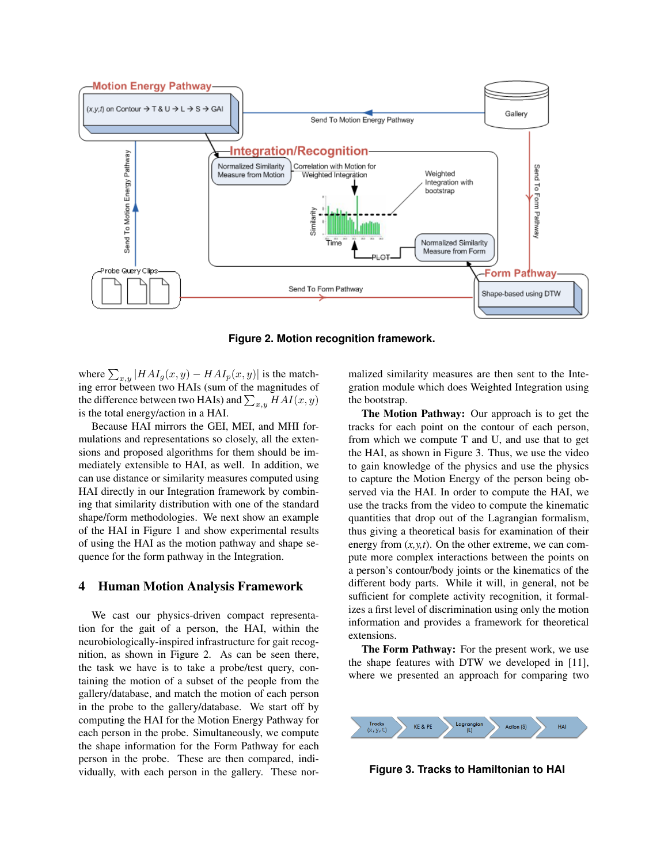

**Figure 2. Motion recognition framework.**

where  $\sum_{x,y} |HAI_g(x,y) - HAI_p(x,y)|$  is the matching error between two HAIs (sum of the magnitudes of the difference between two HAIs) and  $\sum_{x,y} HAI(x,y)$ is the total energy/action in a HAI.

Because HAI mirrors the GEI, MEI, and MHI formulations and representations so closely, all the extensions and proposed algorithms for them should be immediately extensible to HAI, as well. In addition, we can use distance or similarity measures computed using HAI directly in our Integration framework by combining that similarity distribution with one of the standard shape/form methodologies. We next show an example of the HAI in Figure 1 and show experimental results of using the HAI as the motion pathway and shape sequence for the form pathway in the Integration.

#### 4 Human Motion Analysis Framework

We cast our physics-driven compact representation for the gait of a person, the HAI, within the neurobiologically-inspired infrastructure for gait recognition, as shown in Figure 2. As can be seen there, the task we have is to take a probe/test query, containing the motion of a subset of the people from the gallery/database, and match the motion of each person in the probe to the gallery/database. We start off by computing the HAI for the Motion Energy Pathway for each person in the probe. Simultaneously, we compute the shape information for the Form Pathway for each person in the probe. These are then compared, individually, with each person in the gallery. These normalized similarity measures are then sent to the Integration module which does Weighted Integration using the bootstrap.

The Motion Pathway: Our approach is to get the tracks for each point on the contour of each person, from which we compute T and U, and use that to get the HAI, as shown in Figure 3. Thus, we use the video to gain knowledge of the physics and use the physics to capture the Motion Energy of the person being observed via the HAI. In order to compute the HAI, we use the tracks from the video to compute the kinematic quantities that drop out of the Lagrangian formalism, thus giving a theoretical basis for examination of their energy from  $(x, y, t)$ . On the other extreme, we can compute more complex interactions between the points on a person's contour/body joints or the kinematics of the different body parts. While it will, in general, not be sufficient for complete activity recognition, it formalizes a first level of discrimination using only the motion information and provides a framework for theoretical extensions.

The Form Pathway: For the present work, we use the shape features with DTW we developed in [11], where we presented an approach for comparing two



**Figure 3. Tracks to Hamiltonian to HAI**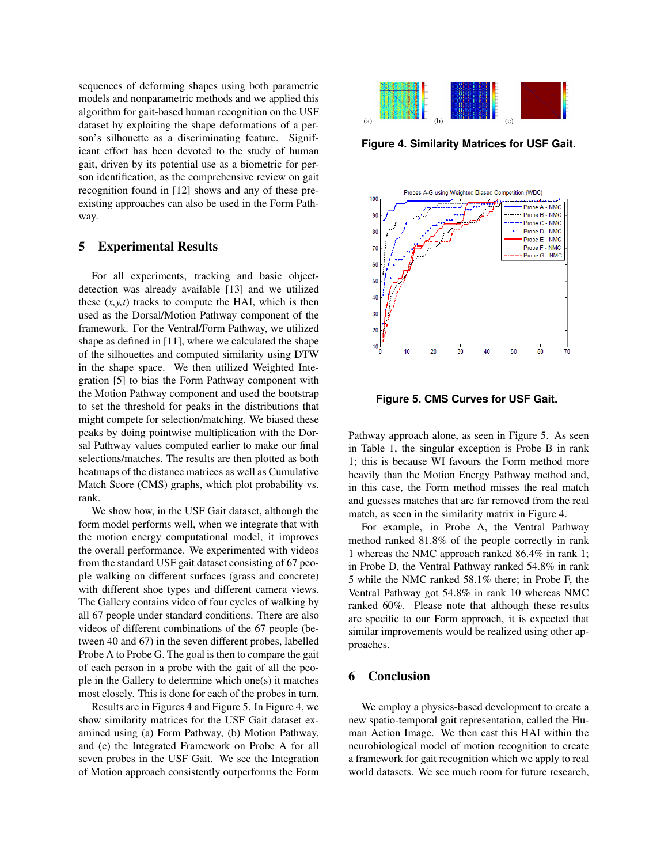sequences of deforming shapes using both parametric models and nonparametric methods and we applied this algorithm for gait-based human recognition on the USF dataset by exploiting the shape deformations of a person's silhouette as a discriminating feature. Significant effort has been devoted to the study of human gait, driven by its potential use as a biometric for person identification, as the comprehensive review on gait recognition found in [12] shows and any of these preexisting approaches can also be used in the Form Pathway.

## 5 Experimental Results

For all experiments, tracking and basic objectdetection was already available [13] and we utilized these  $(x, y, t)$  tracks to compute the HAI, which is then used as the Dorsal/Motion Pathway component of the framework. For the Ventral/Form Pathway, we utilized shape as defined in [11], where we calculated the shape of the silhouettes and computed similarity using DTW in the shape space. We then utilized Weighted Integration [5] to bias the Form Pathway component with the Motion Pathway component and used the bootstrap to set the threshold for peaks in the distributions that might compete for selection/matching. We biased these peaks by doing pointwise multiplication with the Dorsal Pathway values computed earlier to make our final selections/matches. The results are then plotted as both heatmaps of the distance matrices as well as Cumulative Match Score (CMS) graphs, which plot probability vs. rank.

We show how, in the USF Gait dataset, although the form model performs well, when we integrate that with the motion energy computational model, it improves the overall performance. We experimented with videos from the standard USF gait dataset consisting of 67 people walking on different surfaces (grass and concrete) with different shoe types and different camera views. The Gallery contains video of four cycles of walking by all 67 people under standard conditions. There are also videos of different combinations of the 67 people (between 40 and 67) in the seven different probes, labelled Probe A to Probe G. The goal is then to compare the gait of each person in a probe with the gait of all the people in the Gallery to determine which one(s) it matches most closely. This is done for each of the probes in turn.

Results are in Figures 4 and Figure 5. In Figure 4, we show similarity matrices for the USF Gait dataset examined using (a) Form Pathway, (b) Motion Pathway, and (c) the Integrated Framework on Probe A for all seven probes in the USF Gait. We see the Integration of Motion approach consistently outperforms the Form



**Figure 4. Similarity Matrices for USF Gait.**



**Figure 5. CMS Curves for USF Gait.**

Pathway approach alone, as seen in Figure 5. As seen in Table 1, the singular exception is Probe B in rank 1; this is because WI favours the Form method more heavily than the Motion Energy Pathway method and, in this case, the Form method misses the real match and guesses matches that are far removed from the real match, as seen in the similarity matrix in Figure 4.

For example, in Probe A, the Ventral Pathway method ranked 81.8% of the people correctly in rank 1 whereas the NMC approach ranked 86.4% in rank 1; in Probe D, the Ventral Pathway ranked 54.8% in rank 5 while the NMC ranked 58.1% there; in Probe F, the Ventral Pathway got 54.8% in rank 10 whereas NMC ranked 60%. Please note that although these results are specific to our Form approach, it is expected that similar improvements would be realized using other approaches.

## 6 Conclusion

We employ a physics-based development to create a new spatio-temporal gait representation, called the Human Action Image. We then cast this HAI within the neurobiological model of motion recognition to create a framework for gait recognition which we apply to real world datasets. We see much room for future research,